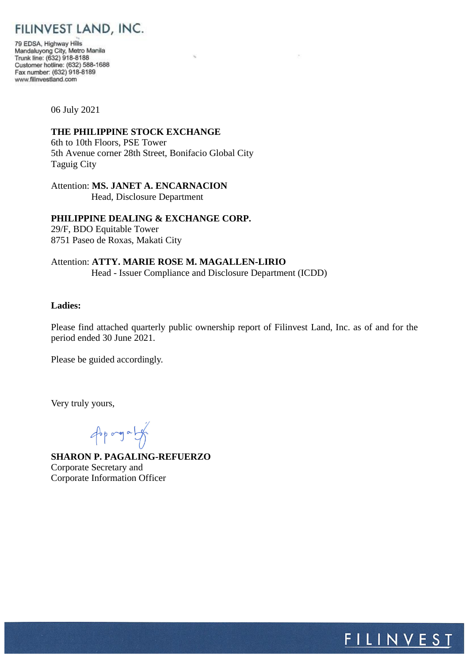# FILINVEST LAND, INC.

79 EDSA, Highway Hills Mandaluyong City, Metro Manila<br>Trunk line: (632) 918-8188 Customer hotline: (632) 588-1688 Fax number: (632) 918-8189 www.filinvestland.com

06 July 2021

#### **THE PHILIPPINE STOCK EXCHANGE**

6th to 10th Floors, PSE Tower 5th Avenue corner 28th Street, Bonifacio Global City Taguig City

Attention: **MS. JANET A. ENCARNACION** Head, Disclosure Department

## **PHILIPPINE DEALING & EXCHANGE CORP.**

29/F, BDO Equitable Tower 8751 Paseo de Roxas, Makati City

Attention: **ATTY. MARIE ROSE M. MAGALLEN-LIRIO** Head - Issuer Compliance and Disclosure Department (ICDD)

## **Ladies:**

Please find attached quarterly public ownership report of Filinvest Land, Inc. as of and for the period ended 30 June 2021.

Please be guided accordingly.

Very truly yours,

opported

**SHARON P. PAGALING-REFUERZO** Corporate Secretary and Corporate Information Officer

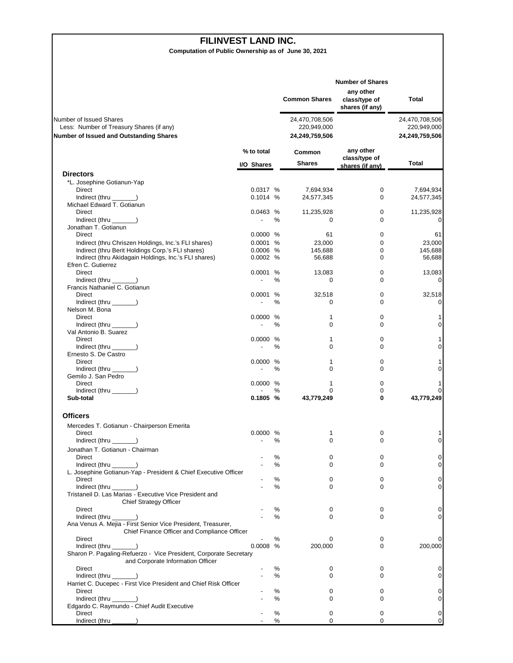#### **FILINVEST LAND INC.**

**Computation of Public Ownership as of June 30, 2021**

|                                                                                                                       |                          |      | <b>Common Shares</b>                            | <b>Number of Shares</b><br>any other<br>class/type of<br>shares (if any) | <b>Total</b>                                    |
|-----------------------------------------------------------------------------------------------------------------------|--------------------------|------|-------------------------------------------------|--------------------------------------------------------------------------|-------------------------------------------------|
| Number of Issued Shares<br>Less: Number of Treasury Shares (if any)<br><b>Number of Issued and Outstanding Shares</b> |                          |      | 24,470,708,506<br>220,949,000<br>24,249,759,506 |                                                                          | 24,470,708,506<br>220,949,000<br>24,249,759,506 |
|                                                                                                                       | % to total<br>I/O Shares |      | Common<br><b>Shares</b>                         | any other<br>class/type of<br>shares (if any)                            | Total                                           |
| <b>Directors</b>                                                                                                      |                          |      |                                                 |                                                                          |                                                 |
| *L. Josephine Gotianun-Yap                                                                                            |                          |      |                                                 |                                                                          |                                                 |
| Direct                                                                                                                | 0.0317 %                 |      | 7,694,934                                       | 0                                                                        | 7,694,934                                       |
| Indirect (thru _________)                                                                                             | 0.1014 %                 |      | 24,577,345                                      | 0                                                                        | 24,577,345                                      |
| Michael Edward T. Gotianun<br>Direct                                                                                  | 0.0463 %                 |      | 11,235,928                                      | 0                                                                        | 11,235,928                                      |
| Indirect (thru ______)                                                                                                | $\overline{\phantom{a}}$ | %    | 0                                               | 0                                                                        | 0                                               |
| Jonathan T. Gotianun                                                                                                  |                          |      |                                                 |                                                                          |                                                 |
| Direct                                                                                                                | 0.0000 %                 |      | 61                                              | 0                                                                        | 61                                              |
| Indirect (thru Chriszen Holdings, Inc.'s FLI shares)                                                                  | 0.0001 %                 |      | 23,000                                          | 0                                                                        | 23,000                                          |
| Indirect (thru Berit Holdings Corp.'s FLI shares)                                                                     | $0.0006$ %               |      | 145,688                                         | 0                                                                        | 145,688                                         |
| Indirect (thru Akidagain Holdings, Inc.'s FLI shares)                                                                 | 0.0002 %                 |      | 56,688                                          | $\Omega$                                                                 | 56,688                                          |
| Efren C. Gutierrez                                                                                                    |                          |      |                                                 |                                                                          |                                                 |
| <b>Direct</b>                                                                                                         | 0.0001 %                 |      | 13,083                                          | 0                                                                        | 13,083                                          |
| Indirect (thru ______)<br>Francis Nathaniel C. Gotianun                                                               |                          | %    | 0                                               | 0                                                                        | 0                                               |
| Direct                                                                                                                | 0.0001                   | %    | 32,518                                          | 0                                                                        | 32,518                                          |
| $Indirect$ (thru $\qquad$ )                                                                                           | $\overline{\phantom{a}}$ | ℅    | 0                                               | 0                                                                        | 0                                               |
| Nelson M. Bona                                                                                                        |                          |      |                                                 |                                                                          |                                                 |
| <b>Direct</b>                                                                                                         | 0.0000 %                 |      | 1                                               | 0                                                                        | 1                                               |
| Indirect (thru ______)                                                                                                | $\overline{\phantom{a}}$ | ℅    | $\mathbf 0$                                     | 0                                                                        | 0                                               |
| Val Antonio B. Suarez                                                                                                 |                          |      |                                                 |                                                                          |                                                 |
| Direct                                                                                                                | 0.0000 %                 |      | 1                                               | 0                                                                        | 1                                               |
| Indirect (thru ______)                                                                                                |                          | $\%$ | $\mathbf 0$                                     | $\Omega$                                                                 | 0                                               |
| Ernesto S. De Castro                                                                                                  |                          |      |                                                 |                                                                          |                                                 |
| Direct                                                                                                                | 0.0000 %                 |      | 1                                               | 0                                                                        | 1                                               |
| $Indirect$ (thru $\qquad$ )                                                                                           |                          | ℅    | 0                                               | 0                                                                        | 0                                               |
| Gemilo J. San Pedro                                                                                                   |                          |      |                                                 |                                                                          |                                                 |
| Direct<br>Indirect (thru ______)                                                                                      | 0.0000 %                 | ℅    | 1<br>$\Omega$                                   | 0<br>0                                                                   | 1<br>0                                          |
| Sub-total                                                                                                             | 0.1805 %                 |      | 43,779,249                                      | 0                                                                        | 43,779,249                                      |
| <b>Officers</b>                                                                                                       |                          |      |                                                 |                                                                          |                                                 |
| Mercedes T. Gotianun - Chairperson Emerita                                                                            |                          |      |                                                 |                                                                          |                                                 |
| Direct                                                                                                                | 0.0000                   | %    | 1                                               | 0                                                                        | 1                                               |
| Indirect (thru $\_\_\_\_\_\$ )                                                                                        |                          | ℅    | 0                                               | 0                                                                        | 0                                               |
| Jonathan T. Gotianun - Chairman                                                                                       |                          |      |                                                 |                                                                          |                                                 |
| Direct                                                                                                                |                          | %    | 0                                               | 0                                                                        | 0                                               |
| $Indirect$ (thru $\qquad$ )                                                                                           |                          | %    | $\mathbf 0$                                     | 0                                                                        | 0                                               |
| L. Josephine Gotianun-Yap - President & Chief Executive Officer                                                       |                          |      |                                                 |                                                                          |                                                 |
| Direct                                                                                                                |                          | %    | 0                                               | 0                                                                        | 0                                               |
| Indirect (thru _<br>Tristaneil D. Las Marias - Executive Vice President and                                           |                          | ℅    | 0                                               | 0                                                                        | 0                                               |
| Chief Strategy Officer                                                                                                |                          |      |                                                 |                                                                          |                                                 |
| Direct                                                                                                                |                          | %    | 0                                               | 0                                                                        | 0                                               |
| Indirect (thru __                                                                                                     |                          | %    | 0                                               | 0                                                                        | 0                                               |
| Ana Venus A. Mejia - First Senior Vice President, Treasurer,<br>Chief Finance Officer and Compliance Officer          |                          |      |                                                 |                                                                          |                                                 |
| Direct                                                                                                                |                          | %    | 0                                               | 0                                                                        | 0                                               |
| Indirect (thru                                                                                                        | 0.0008                   | %    | 200,000                                         | 0                                                                        | 200,000                                         |
| Sharon P. Pagaling-Refuerzo - Vice President, Corporate Secretary<br>and Corporate Information Officer                |                          |      |                                                 |                                                                          |                                                 |
| Direct                                                                                                                |                          | %    | 0                                               | 0                                                                        | 0                                               |
| Indirect (thru $\_\_\_\_\_\$ )                                                                                        |                          | %    | 0                                               | 0                                                                        | 0                                               |
| Harriet C. Ducepec - First Vice President and Chief Risk Officer                                                      |                          |      |                                                 |                                                                          |                                                 |
| Direct                                                                                                                |                          | %    | 0                                               | 0                                                                        | 0                                               |
| $Indirect$ (thru $\qquad$ )                                                                                           |                          | ℅    | 0                                               | 0                                                                        | 0                                               |
| Edgardo C. Raymundo - Chief Audit Executive                                                                           |                          |      |                                                 |                                                                          |                                                 |
| Direct                                                                                                                |                          | %    | 0                                               | 0                                                                        | 0                                               |
| Indirect (thru _                                                                                                      |                          | %    | 0                                               | 0                                                                        | $\pmb{0}$                                       |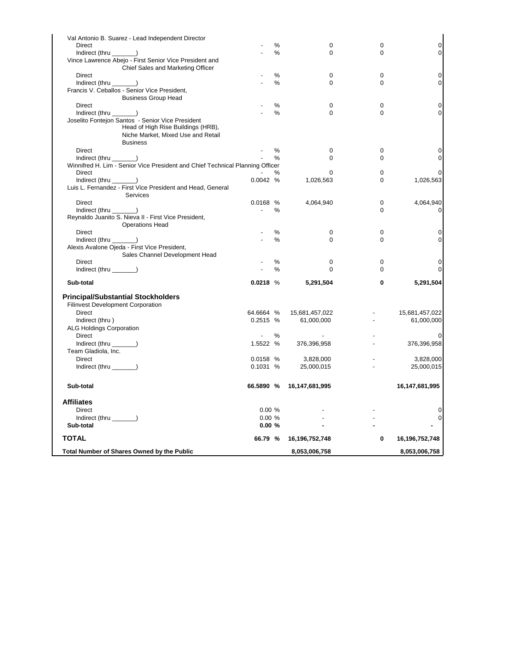| Val Antonio B. Suarez - Lead Independent Director                             |                          |      |                |             |                     |
|-------------------------------------------------------------------------------|--------------------------|------|----------------|-------------|---------------------|
| Direct                                                                        |                          | %    | 0              | 0           | $\mathsf{O}\xspace$ |
| $Indirect$ (thru $\_\_\_\_\_\$ )                                              |                          | $\%$ | $\Omega$       | $\Omega$    | 0                   |
| Vince Lawrence Abejo - First Senior Vice President and                        |                          |      |                |             |                     |
| Chief Sales and Marketing Officer                                             |                          |      |                |             |                     |
| Direct                                                                        |                          | $\%$ | 0              | $\mathbf 0$ | 0                   |
| Indirect (thru ______)                                                        |                          | %    | 0              | $\mathbf 0$ | 0                   |
| Francis V. Ceballos - Senior Vice President,                                  |                          |      |                |             |                     |
| <b>Business Group Head</b>                                                    |                          |      |                |             |                     |
| Direct                                                                        |                          | %    | 0              | $\mathbf 0$ | 0                   |
| $Indirect$ (thru $\_\_\_\_\_\$ )                                              |                          | $\%$ | 0              | $\mathbf 0$ | 0                   |
| Joselito Fontejon Santos - Senior Vice President                              |                          |      |                |             |                     |
| Head of High Rise Buildings (HRB),                                            |                          |      |                |             |                     |
| Niche Market, Mixed Use and Retail                                            |                          |      |                |             |                     |
| <b>Business</b>                                                               |                          |      |                |             |                     |
| Direct                                                                        |                          | %    | 0              | $\mathbf 0$ |                     |
|                                                                               |                          |      |                |             | 0                   |
| $Indirect$ (thru $\_\_\_\_\_\_\$ )                                            |                          | %    | 0              | $\mathbf 0$ | 0                   |
| Winnifred H. Lim - Senior Vice President and Chief Technical Planning Officer |                          |      |                |             |                     |
| <b>Direct</b>                                                                 |                          | %    | 0              | $\mathbf 0$ | 0                   |
| $Indirect$ (thru $\_\_\_\_\_\_\$ )                                            | 0.0042%                  |      | 1,026,563      | $\Omega$    | 1,026,563           |
| Luis L. Fernandez - First Vice President and Head, General                    |                          |      |                |             |                     |
| Services                                                                      |                          |      |                |             |                     |
| Direct                                                                        | 0.0168 %                 |      | 4,064,940      | 0           | 4,064,940           |
| Indirect (thru ________)                                                      | $\sim$                   | %    |                | $\Omega$    | 0                   |
| Reynaldo Juanito S. Nieva II - First Vice President,                          |                          |      |                |             |                     |
| <b>Operations Head</b>                                                        |                          |      |                |             |                     |
| Direct                                                                        |                          | %    | 0              | 0           | 0                   |
| Indirect (thru ______)                                                        |                          | %    | 0              | $\mathbf 0$ | 0                   |
| Alexis Avalone Ojeda - First Vice President,                                  |                          |      |                |             |                     |
| Sales Channel Development Head                                                |                          |      |                |             |                     |
| Direct                                                                        |                          | %    | 0              | $\mathbf 0$ | 0                   |
| Indirect (thru $\_\_\_\_\_\_\$ )                                              |                          | $\%$ | $\Omega$       | $\Omega$    | 0                   |
|                                                                               |                          |      |                |             |                     |
| Sub-total                                                                     | $0.0218$ %               |      | 5,291,504      | 0           | 5,291,504           |
| <b>Principal/Substantial Stockholders</b>                                     |                          |      |                |             |                     |
| <b>Filinvest Development Corporation</b>                                      |                          |      |                |             |                     |
| Direct                                                                        | 64.6664 %                |      | 15,681,457,022 |             | 15,681,457,022      |
|                                                                               | 0.2515 %                 |      | 61,000,000     |             | 61,000,000          |
| Indirect (thru)                                                               |                          |      |                |             |                     |
| <b>ALG Holdings Corporation</b>                                               |                          |      |                |             |                     |
| <b>Direct</b>                                                                 | $\overline{\phantom{a}}$ | %    |                |             |                     |
| Indirect (thru _______)                                                       | 1.5522 %                 |      | 376,396,958    |             | 376,396,958         |
| Team Gladiola, Inc.                                                           |                          |      |                |             |                     |
| <b>Direct</b>                                                                 | 0.0158 %                 |      | 3,828,000      |             | 3,828,000           |
| Indirect (thru _______)                                                       | 0.1031%                  |      | 25,000,015     |             | 25,000,015          |
|                                                                               |                          |      |                |             |                     |
| Sub-total                                                                     | 66.5890 %                |      | 16,147,681,995 |             | 16,147,681,995      |
| <b>Affiliates</b>                                                             |                          |      |                |             |                     |
| <b>Direct</b>                                                                 | 0.00%                    |      |                |             | 0                   |
| Indirect (thru _______)                                                       | 0.00%                    |      |                |             | 0                   |
| Sub-total                                                                     | 0.00%                    |      |                |             |                     |
| <b>TOTAL</b>                                                                  |                          |      |                |             |                     |
|                                                                               | 66.79 %                  |      | 16,196,752,748 | 0           | 16,196,752,748      |
| Total Number of Shares Owned by the Public                                    |                          |      | 8,053,006,758  |             | 8,053,006,758       |